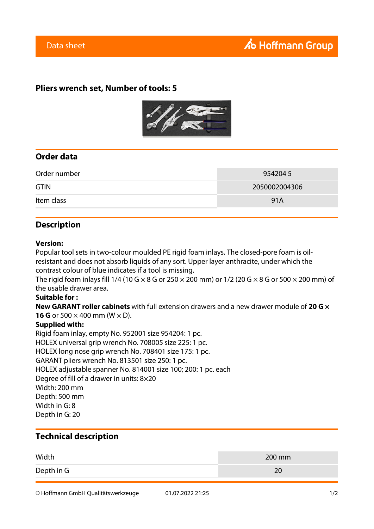## **Pliers wrench set, Number of tools: 5**



## **Order data**

| Order number | 9542045       |
|--------------|---------------|
| <b>GTIN</b>  | 2050002004306 |
| Item class   | 91A           |

## **Description**

#### **Version:**

Popular tool sets in two-colour moulded PE rigid foam inlays. The closed-pore foam is oilresistant and does not absorb liquids of any sort. Upper layer anthracite, under which the contrast colour of blue indicates if a tool is missing.

The rigid foam inlays fill 1/4 (10 G  $\times$  8 G or 250  $\times$  200 mm) or 1/2 (20 G  $\times$  8 G or 500  $\times$  200 mm) of the usable drawer area.

#### **Suitable for :**

**New GARANT roller cabinets** with full extension drawers and a new drawer module of **20 G × 16 G** or 500  $\times$  400 mm (W  $\times$  D).

#### **Supplied with:**

Rigid foam inlay, empty No. 952001 size 954204: 1 pc. HOLEX universal grip wrench No. 708005 size 225: 1 pc. HOLEX long nose grip wrench No. 708401 size 175: 1 pc. GARANT pliers wrench No. 813501 size 250: 1 pc. HOLEX adjustable spanner No. 814001 size 100; 200: 1 pc. each Degree of fill of a drawer in units: 8×20 Width: 200 mm Depth: 500 mm Width in G: 8 Depth in G: 20

### **Technical description**

| Width      | 200 mm |
|------------|--------|
| Depth in G | 20     |

© Hoffmann GmbH Qualitätswerkzeuge 01.07.2022 21:25 1/2